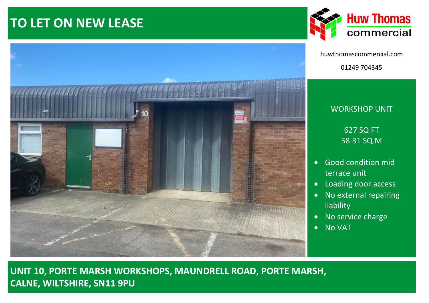# **TO LET ON NEW LEASE**





huwthomascommercial.com 01249 704345

# WORKSHOP UNIT 627 SQ FT

58.31 SQ M

- Good condition mid terrace unit
- Loading door access
- No external repairing liability
- No service charge
- No VAT

**UNIT 10, PORTE MARSH WORKSHOPS, MAUNDRELL ROAD, PORTE MARSH, CALNE, WILTSHIRE, SN11 9PU**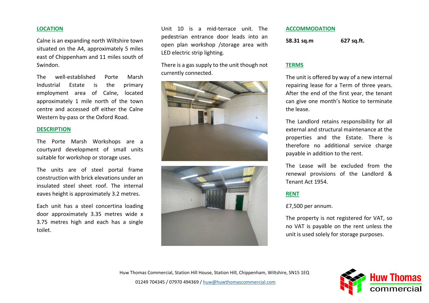# **LOCATION**

Calne is an expanding north Wiltshire town situated on the A4, approximately 5 miles east of Chippenham and 11 miles south of Swindon.

The well-established Porte Marsh Industrial Estate is the primary employment area of Calne, located approximately 1 mile north of the town centre and accessed off either the Calne Western by-pass or the Oxford Road.

### **DESCRIPTION**

The Porte Marsh Workshops are a courtyard development of small units suitable for workshop or storage uses.

The units are of steel portal frame construction with brick elevations under an insulated steel sheet roof. The internal eaves height is approximately 3.2 metres.

Each unit has a steel concertina loading door approximately 3.35 metres wide x 3.75 metres high and each has a single toilet.

Unit 10 is a mid-terrace unit. The pedestrian entrance door leads into an open plan workshop /storage area with LED electric strip lighting.

There is a gas supply to the unit though not currently connected.





### **ACCOMMODATION**

**58.31 sq.m 627 sq.ft.**

# **TERMS**

The unit is offered by way of a new internal repairing lease for a Term of three years. After the end of the first year, the tenant can give one month's Notice to terminate the lease.

The Landlord retains responsibility for all external and structural maintenance at the properties and the Estate. There is therefore no additional service charge payable in addition to the rent.

The Lease will be excluded from the renewal provisions of the Landlord & Tenant Act 1954.

# **RENT**

£7,500 per annum.

The property is not registered for VAT, so no VAT is payable on the rent unless the unit is used solely for storage purposes.